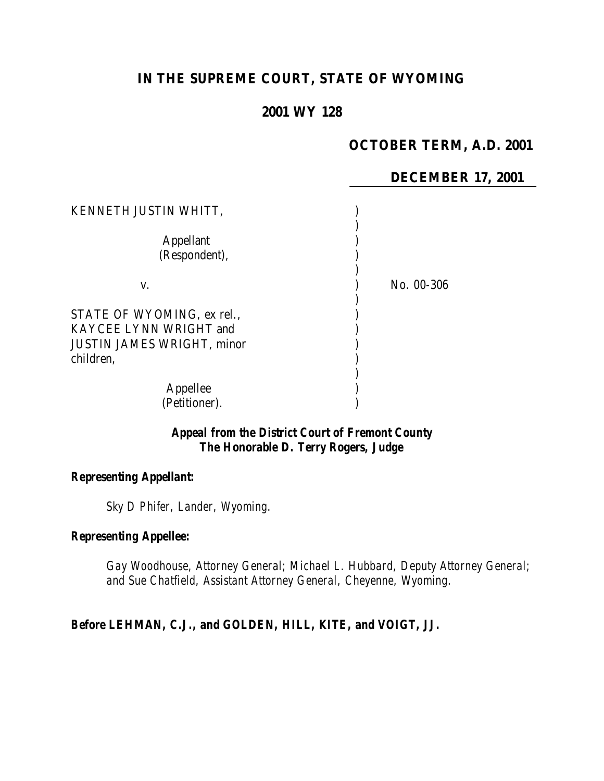# **IN THE SUPREME COURT, STATE OF WYOMING**

## **2001 WY 128**

## **OCTOBER TERM, A.D. 2001**

## **DECEMBER 17, 2001**

| KENNETH JUSTIN WHITT,                                                                                  |            |
|--------------------------------------------------------------------------------------------------------|------------|
| <b>Appellant</b><br>(Respondent),                                                                      |            |
| V.                                                                                                     | No. 00-306 |
| STATE OF WYOMING, ex rel.,<br>KAYCEE LYNN WRIGHT and<br><b>JUSTIN JAMES WRIGHT, minor</b><br>children, |            |
| Appellee<br>(Petitioner).                                                                              |            |

## *Appeal from the District Court of Fremont County The Honorable D. Terry Rogers, Judge*

#### *Representing Appellant:*

*Sky D Phifer, Lander, Wyoming.*

#### *Representing Appellee:*

*Gay Woodhouse, Attorney General; Michael L. Hubbard, Deputy Attorney General; and Sue Chatfield, Assistant Attorney General, Cheyenne, Wyoming.*

## *Before LEHMAN, C.J., and GOLDEN, HILL, KITE, and VOIGT, JJ.*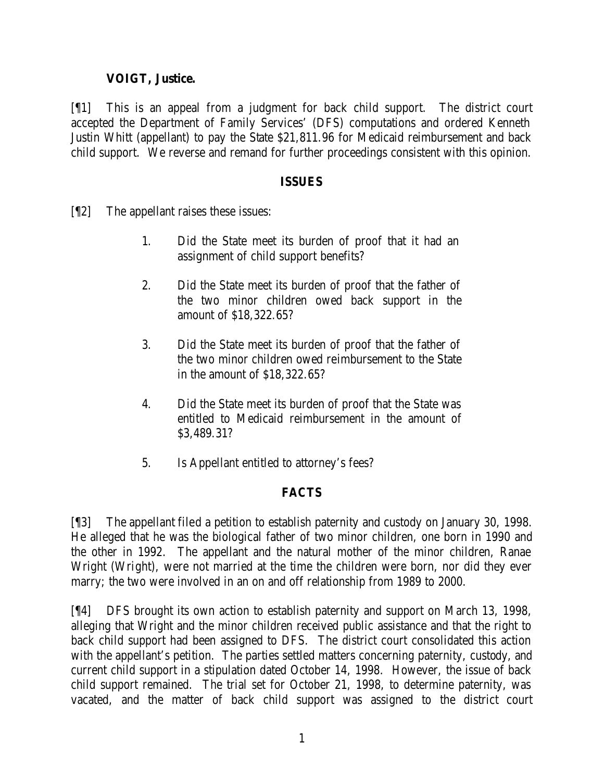## **VOIGT, Justice.**

[¶1] This is an appeal from a judgment for back child support. The district court accepted the Department of Family Services' (DFS) computations and ordered Kenneth Justin Whitt (appellant) to pay the State \$21,811.96 for Medicaid reimbursement and back child support. We reverse and remand for further proceedings consistent with this opinion.

#### **ISSUES**

- [¶2] The appellant raises these issues:
	- 1. Did the State meet its burden of proof that it had an assignment of child support benefits?
	- 2. Did the State meet its burden of proof that the father of the two minor children owed back support in the amount of \$18,322.65?
	- 3. Did the State meet its burden of proof that the father of the two minor children owed reimbursement to the State in the amount of \$18,322.65?
	- 4. Did the State meet its burden of proof that the State was entitled to Medicaid reimbursement in the amount of \$3,489.31?
	- 5. Is Appellant entitled to attorney's fees?

## **FACTS**

[¶3] The appellant filed a petition to establish paternity and custody on January 30, 1998. He alleged that he was the biological father of two minor children, one born in 1990 and the other in 1992. The appellant and the natural mother of the minor children, Ranae Wright (Wright), were not married at the time the children were born, nor did they ever marry; the two were involved in an on and off relationship from 1989 to 2000.

[¶4] DFS brought its own action to establish paternity and support on March 13, 1998, alleging that Wright and the minor children received public assistance and that the right to back child support had been assigned to DFS. The district court consolidated this action with the appellant's petition. The parties settled matters concerning paternity, custody, and current child support in a stipulation dated October 14, 1998. However, the issue of back child support remained. The trial set for October 21, 1998, to determine paternity, was vacated, and the matter of back child support was assigned to the district court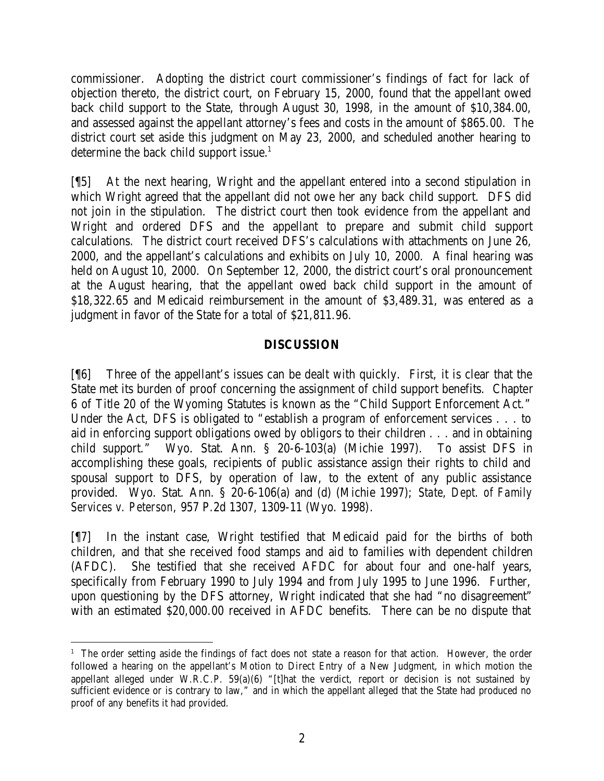commissioner. Adopting the district court commissioner's findings of fact for lack of objection thereto, the district court, on February 15, 2000, found that the appellant owed back child support to the State, through August 30, 1998, in the amount of \$10,384.00, and assessed against the appellant attorney's fees and costs in the amount of \$865.00. The district court set aside this judgment on May 23, 2000, and scheduled another hearing to determine the back child support issue.<sup>1</sup>

[¶5] At the next hearing, Wright and the appellant entered into a second stipulation in which Wright agreed that the appellant did not owe her any back child support. DFS did not join in the stipulation. The district court then took evidence from the appellant and Wright and ordered DFS and the appellant to prepare and submit child support calculations. The district court received DFS's calculations with attachments on June 26, 2000, and the appellant's calculations and exhibits on July 10, 2000. A final hearing was held on August 10, 2000. On September 12, 2000, the district court's oral pronouncement at the August hearing, that the appellant owed back child support in the amount of \$18,322.65 and Medicaid reimbursement in the amount of \$3,489.31, was entered as a judgment in favor of the State for a total of \$21,811.96.

### **DISCUSSION**

[¶6] Three of the appellant's issues can be dealt with quickly. First, it is clear that the State met its burden of proof concerning the assignment of child support benefits. Chapter 6 of Title 20 of the Wyoming Statutes is known as the "Child Support Enforcement Act." Under the Act, DFS is obligated to "establish a program of enforcement services . . . to aid in enforcing support obligations owed by obligors to their children . . . and in obtaining child support." Wyo. Stat. Ann. § 20-6-103(a) (Michie 1997). To assist DFS in accomplishing these goals, recipients of public assistance assign their rights to child and spousal support to DFS, by operation of law, to the extent of any public assistance provided. Wyo. Stat. Ann. § 20-6-106(a) and (d) (Michie 1997); *State, Dept. of Family Services v. Peterson*, 957 P.2d 1307, 1309-11 (Wyo. 1998).

[¶7] In the instant case, Wright testified that Medicaid paid for the births of both children, and that she received food stamps and aid to families with dependent children (AFDC). She testified that she received AFDC for about four and one-half years, specifically from February 1990 to July 1994 and from July 1995 to June 1996. Further, upon questioning by the DFS attorney, Wright indicated that she had "no disagreement" with an estimated \$20,000.00 received in AFDC benefits. There can be no dispute that

 <sup>1</sup> The order setting aside the findings of fact does not state a reason for that action. However, the order followed a hearing on the appellant's Motion to Direct Entry of a New Judgment, in which motion the appellant alleged under W.R.C.P. 59(a)(6) "[t]hat the verdict, report or decision is not sustained by sufficient evidence or is contrary to law," and in which the appellant alleged that the State had produced no proof of any benefits it had provided.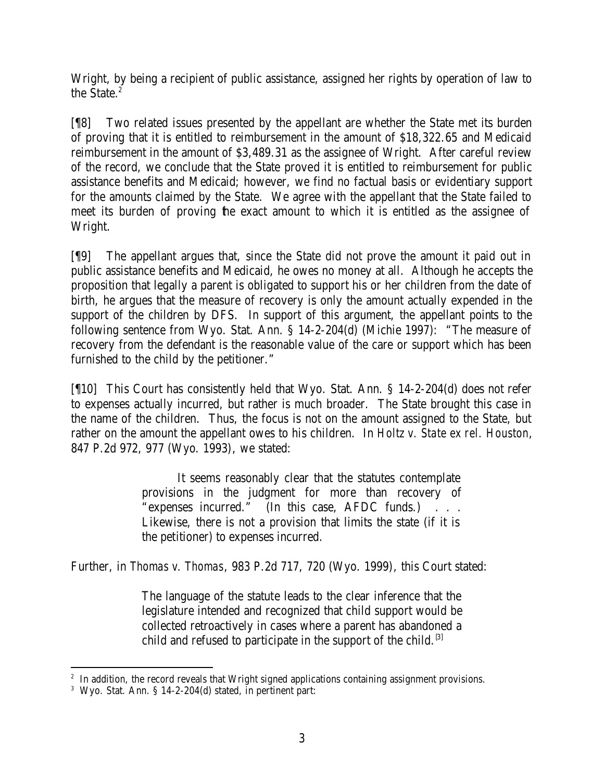Wright, by being a recipient of public assistance, assigned her rights by operation of law to the State. $^2$ 

[¶8] Two related issues presented by the appellant are whether the State met its burden of proving that it is entitled to reimbursement in the amount of \$18,322.65 and Medicaid reimbursement in the amount of \$3,489.31 as the assignee of Wright. After careful review of the record, we conclude that the State proved it is entitled to reimbursement for public assistance benefits and Medicaid; however, we find no factual basis or evidentiary support for the amounts claimed by the State. We agree with the appellant that the State failed to meet its burden of proving the exact amount to which it is entitled as the assignee of Wright.

[¶9] The appellant argues that, since the State did not prove the amount it paid out in public assistance benefits and Medicaid, he owes no money at all. Although he accepts the proposition that legally a parent is obligated to support his or her children from the date of birth, he argues that the measure of recovery is only the amount actually expended in the support of the children by DFS. In support of this argument, the appellant points to the following sentence from Wyo. Stat. Ann. § 14-2-204(d) (Michie 1997): "The measure of recovery from the defendant is the reasonable value of the care or support which has been furnished to the child by the petitioner."

[¶10] This Court has consistently held that Wyo. Stat. Ann. § 14-2-204(d) does not refer to expenses actually incurred, but rather is much broader. The State brought this case in the name of the children. Thus, the focus is not on the amount assigned to the State, but rather on the amount the appellant owes to his children. In *Holtz v. State ex rel. Houston*, 847 P.2d 972, 977 (Wyo. 1993), we stated:

> It seems reasonably clear that the statutes contemplate provisions in the judgment for more than recovery of "expenses incurred." (In this case, AFDC funds.) . . . Likewise, there is not a provision that limits the state (if it is the petitioner) to expenses incurred.

Further, in *Thomas v. Thomas*, 983 P.2d 717, 720 (Wyo. 1999), this Court stated:

The language of the statute leads to the clear inference that the legislature intended and recognized that child support would be collected retroactively in cases where a parent has abandoned a child and refused to participate in the support of the child.<sup>[3]</sup>

<sup>&</sup>lt;sup>2</sup> In addition, the record reveals that Wright signed applications containing assignment provisions.

<sup>3</sup> Wyo. Stat. Ann. § 14-2-204(d) stated, in pertinent part: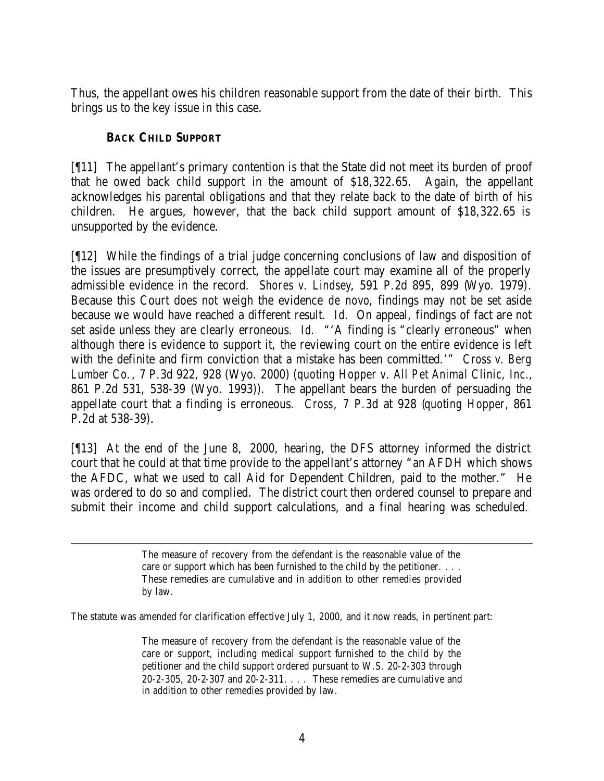Thus, the appellant owes his children reasonable support from the date of their birth. This brings us to the key issue in this case.

## **BACK CHILD SUPPORT**

[¶11] The appellant's primary contention is that the State did not meet its burden of proof that he owed back child support in the amount of \$18,322.65. Again, the appellant acknowledges his parental obligations and that they relate back to the date of birth of his children. He argues, however, that the back child support amount of \$18,322.65 is unsupported by the evidence.

[¶12] While the findings of a trial judge concerning conclusions of law and disposition of the issues are presumptively correct, the appellate court may examine all of the properly admissible evidence in the record. *Shores v. Lindsey*, 591 P.2d 895, 899 (Wyo. 1979). Because this Court does not weigh the evidence *de novo*, findings may not be set aside because we would have reached a different result. *Id*. On appeal, findings of fact are not set aside unless they are clearly erroneous. *Id.* "'A finding is "clearly erroneous" when although there is evidence to support it, the reviewing court on the entire evidence is left with the definite and firm conviction that a mistake has been committed.'" *Cross v. Berg Lumber Co.*, 7 P.3d 922, 928 (Wyo. 2000) (*quoting Hopper v. All Pet Animal Clinic, Inc.*, 861 P.2d 531, 538-39 (Wyo. 1993)). The appellant bears the burden of persuading the appellate court that a finding is erroneous. *Cross*, 7 P.3d at 928 (*quoting Hopper*, 861 P.2d at 538-39).

[¶13] At the end of the June 8, 2000, hearing, the DFS attorney informed the district court that he could at that time provide to the appellant's attorney "an AFDH which shows the AFDC, what we used to call Aid for Dependent Children, paid to the mother." He was ordered to do so and complied. The district court then ordered counsel to prepare and submit their income and child support calculations, and a final hearing was scheduled.

> The measure of recovery from the defendant is the reasonable value of the care or support which has been furnished to the child by the petitioner. . . . These remedies are cumulative and in addition to other remedies provided by law.

The statute was amended for clarification effective July 1, 2000, and it now reads, in pertinent part:

The measure of recovery from the defendant is the reasonable value of the care or support, including medical support furnished to the child by the petitioner and the child support ordered pursuant to W.S. 20-2-303 through 20-2-305, 20-2-307 and 20-2-311. . . . These remedies are cumulative and in addition to other remedies provided by law.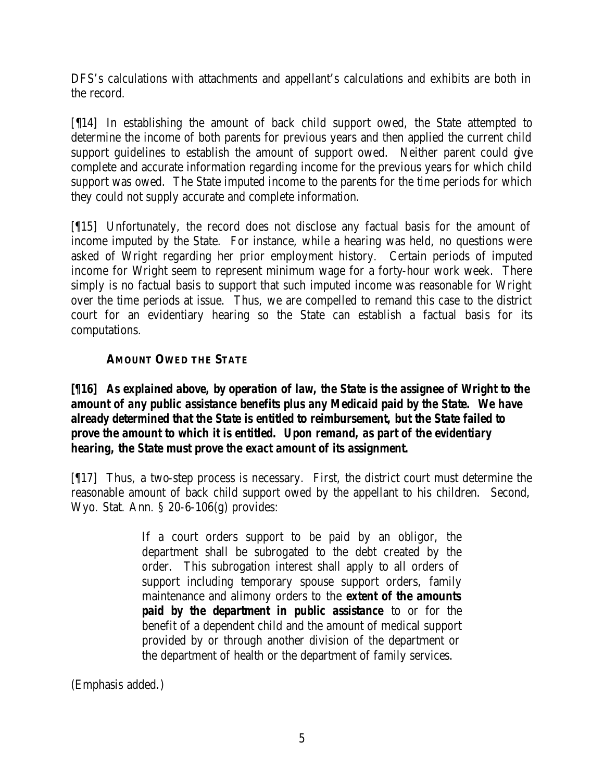DFS's calculations with attachments and appellant's calculations and exhibits are both in the record.

[¶14] In establishing the amount of back child support owed, the State attempted to determine the income of both parents for previous years and then applied the current child support guidelines to establish the amount of support owed. Neither parent could give complete and accurate information regarding income for the previous years for which child support was owed. The State imputed income to the parents for the time periods for which they could not supply accurate and complete information.

[¶15] Unfortunately, the record does not disclose any factual basis for the amount of income imputed by the State. For instance, while a hearing was held, no questions were asked of Wright regarding her prior employment history. Certain periods of imputed income for Wright seem to represent minimum wage for a forty-hour work week. There simply is no factual basis to support that such imputed income was reasonable for Wright over the time periods at issue. Thus, we are compelled to remand this case to the district court for an evidentiary hearing so the State can establish a factual basis for its computations.

## **AMOUNT OWED THE STATE**

## *[¶16] As explained above, by operation of law, the State is the assignee of Wright to the amount of any public assistance benefits plus any Medicaid paid by the State. We have already determined that the State is entitled to reimbursement, but the State failed to prove the amount to which it is entitled. Upon remand, as part of the evidentiary hearing, the State must prove the exact amount of its assignment.*

[¶17] Thus, a two-step process is necessary. First, the district court must determine the reasonable amount of back child support owed by the appellant to his children. Second, Wyo. Stat. Ann. § 20-6-106(g) provides:

> If a court orders support to be paid by an obligor, the department shall be subrogated to the debt created by the order. This subrogation interest shall apply to all orders of support including temporary spouse support orders, family maintenance and alimony orders to the *extent of the amounts paid by the department in public assistance* to or for the benefit of a dependent child and the amount of medical support provided by or through another division of the department or the department of health or the department of family services.

(Emphasis added.)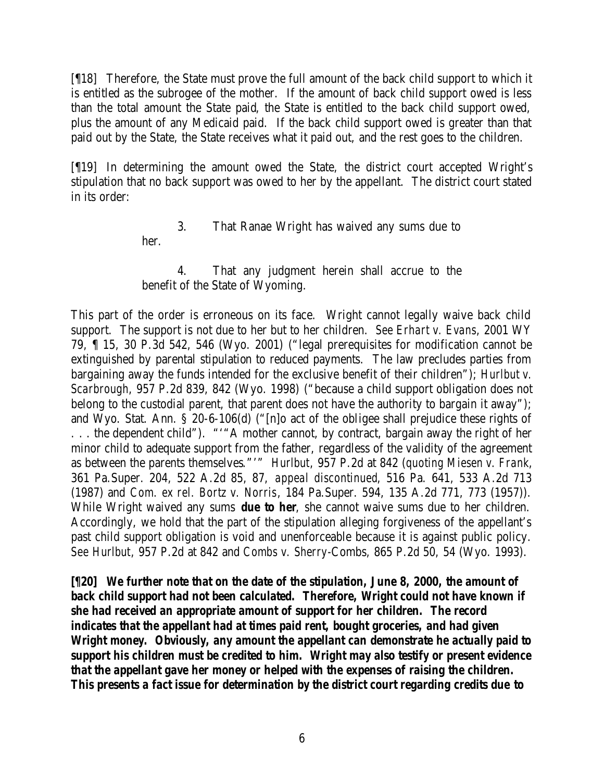[¶18] Therefore, the State must prove the full amount of the back child support to which it is entitled as the subrogee of the mother. If the amount of back child support owed is less than the total amount the State paid, the State is entitled to the back child support owed, plus the amount of any Medicaid paid. If the back child support owed is greater than that paid out by the State, the State receives what it paid out, and the rest goes to the children.

[¶19] In determining the amount owed the State, the district court accepted Wright's stipulation that no back support was owed to her by the appellant. The district court stated in its order:

## 3. That Ranae Wright has waived any sums due to her.

4. That any judgment herein shall accrue to the benefit of the State of Wyoming.

This part of the order is erroneous on its face. Wright cannot legally waive back child support. The support is not due to her but to her children. *See Erhart v. Evans*, 2001 WY 79, ¶ 15, 30 P.3d 542, 546 (Wyo. 2001) ("legal prerequisites for modification cannot be extinguished by parental stipulation to reduced payments. The law precludes parties from bargaining away the funds intended for the exclusive benefit of their children"); *Hurlbut v. Scarbrough*, 957 P.2d 839, 842 (Wyo. 1998) ("because a child support obligation does not belong to the custodial parent, that parent does not have the authority to bargain it away"); and Wyo. Stat. Ann. § 20-6-106(d) ("[n]o act of the obligee shall prejudice these rights of . . . the dependent child"). "'"A mother cannot, by contract, bargain away the right of her minor child to adequate support from the father, regardless of the validity of the agreement as between the parents themselves."'" *Hurlbut*, 957 P.2d at 842 (*quoting Miesen v. Frank*, 361 Pa.Super. 204, 522 A.2d 85, 87, *appeal discontinued*, 516 Pa. 641, 533 A.2d 713 (1987) and *Com. ex rel. Bortz v. Norris*, 184 Pa.Super. 594, 135 A.2d 771, 773 (1957)). While Wright waived any sums *due to her*, she cannot waive sums due to her children. Accordingly, we hold that the part of the stipulation alleging forgiveness of the appellant's past child support obligation is void and unenforceable because it is against public policy. *See Hurlbut*, 957 P.2d at 842 and *Combs v. Sherry-*Combs, 865 P.2d 50, 54 (Wyo. 1993).

*[¶20] We further note that on the date of the stipulation, June 8, 2000, the amount of*  back child support had not been calculated. Therefore, Wright could not have known if *she had received an appropriate amount of support for her children. The record indicates that the appellant had at times paid rent, bought groceries, and had given Wright money. Obviously, any amount the appellant can demonstrate he actually paid to support his children must be credited to him. Wright may also testify or present evidence that the appellant gave her money or helped with the expenses of raising the children. This presents a fact issue for determination by the district court regarding credits due to*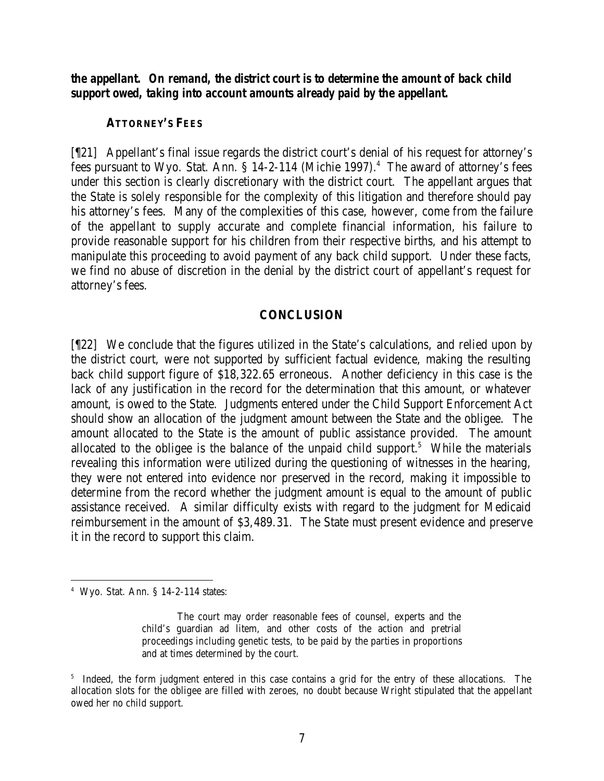*the appellant. On remand, the district court is to determine the amount of back child support owed, taking into account amounts already paid by the appellant.*

## **ATTORNEY'S FEES**

[¶21] Appellant's final issue regards the district court's denial of his request for attorney's fees pursuant to Wyo. Stat. Ann. § 14-2-114 (Michie 1997).<sup>4</sup> The award of attorney's fees under this section is clearly discretionary with the district court. The appellant argues that the State is solely responsible for the complexity of this litigation and therefore should pay his attorney's fees. Many of the complexities of this case, however, come from the failure of the appellant to supply accurate and complete financial information, his failure to provide reasonable support for his children from their respective births, and his attempt to manipulate this proceeding to avoid payment of any back child support. Under these facts, we find no abuse of discretion in the denial by the district court of appellant's request for attorney's fees.

### **CONCLUSION**

[¶22] We conclude that the figures utilized in the State's calculations, and relied upon by the district court, were not supported by sufficient factual evidence, making the resulting back child support figure of \$18,322.65 erroneous. Another deficiency in this case is the lack of any justification in the record for the determination that this amount, or whatever amount, is owed to the State. Judgments entered under the Child Support Enforcement Act should show an allocation of the judgment amount between the State and the obligee. The amount allocated to the State is the amount of public assistance provided. The amount allocated to the obligee is the balance of the unpaid child support.<sup>5</sup> While the materials revealing this information were utilized during the questioning of witnesses in the hearing, they were not entered into evidence nor preserved in the record, making it impossible to determine from the record whether the judgment amount is equal to the amount of public assistance received. A similar difficulty exists with regard to the judgment for Medicaid reimbursement in the amount of \$3,489.31. The State must present evidence and preserve it in the record to support this claim.

<sup>4</sup> Wyo. Stat. Ann. § 14-2-114 states:

The court may order reasonable fees of counsel, experts and the child's guardian ad litem, and other costs of the action and pretrial proceedings including genetic tests, to be paid by the parties in proportions and at times determined by the court.

<sup>&</sup>lt;sup>5</sup> Indeed, the form judgment entered in this case contains a grid for the entry of these allocations. The allocation slots for the obligee are filled with zeroes, no doubt because Wright stipulated that the appellant owed her no child support.